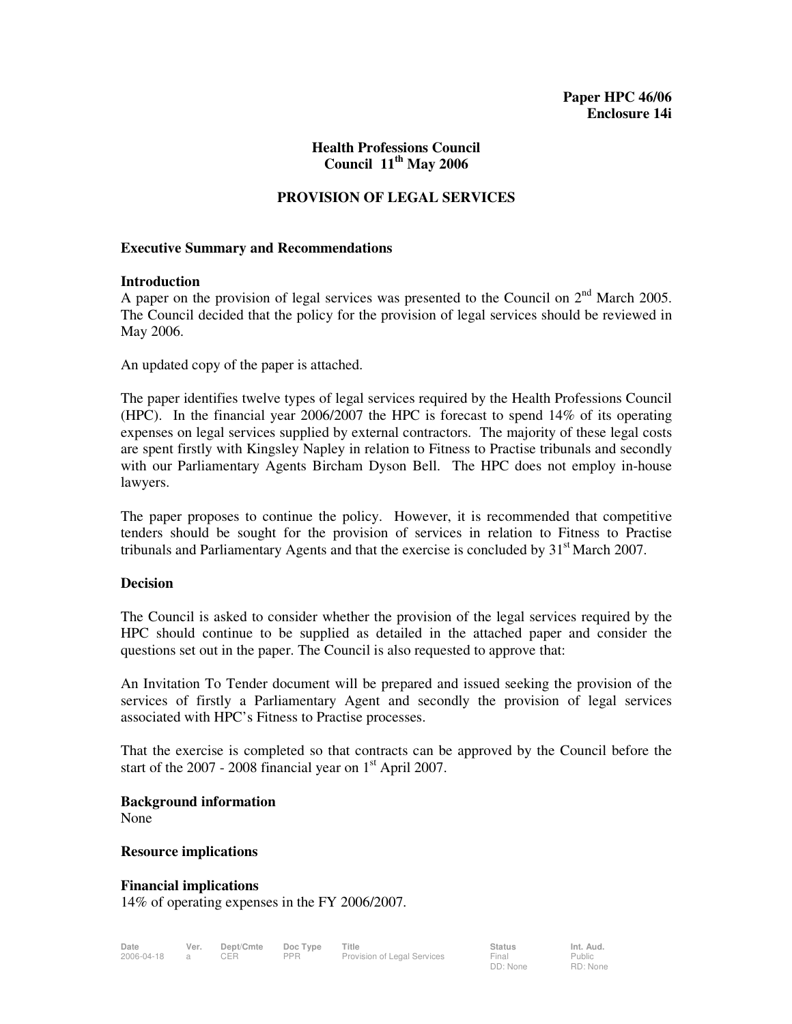### **Health Professions Council Council 11th May 2006**

## **PROVISION OF LEGAL SERVICES**

### **Executive Summary and Recommendations**

### **Introduction**

A paper on the provision of legal services was presented to the Council on  $2<sup>nd</sup>$  March 2005. The Council decided that the policy for the provision of legal services should be reviewed in May 2006.

An updated copy of the paper is attached.

The paper identifies twelve types of legal services required by the Health Professions Council (HPC). In the financial year 2006/2007 the HPC is forecast to spend 14% of its operating expenses on legal services supplied by external contractors. The majority of these legal costs are spent firstly with Kingsley Napley in relation to Fitness to Practise tribunals and secondly with our Parliamentary Agents Bircham Dyson Bell. The HPC does not employ in-house lawyers.

The paper proposes to continue the policy. However, it is recommended that competitive tenders should be sought for the provision of services in relation to Fitness to Practise tribunals and Parliamentary Agents and that the exercise is concluded by  $31<sup>st</sup>$  March 2007.

### **Decision**

The Council is asked to consider whether the provision of the legal services required by the HPC should continue to be supplied as detailed in the attached paper and consider the questions set out in the paper. The Council is also requested to approve that:

An Invitation To Tender document will be prepared and issued seeking the provision of the services of firstly a Parliamentary Agent and secondly the provision of legal services associated with HPC's Fitness to Practise processes.

That the exercise is completed so that contracts can be approved by the Council before the start of the  $2007 - 2008$  financial year on  $1<sup>st</sup>$  April 2007.

**Background information** 

None

#### **Resource implications**

**Financial implications**  14% of operating expenses in the FY 2006/2007.